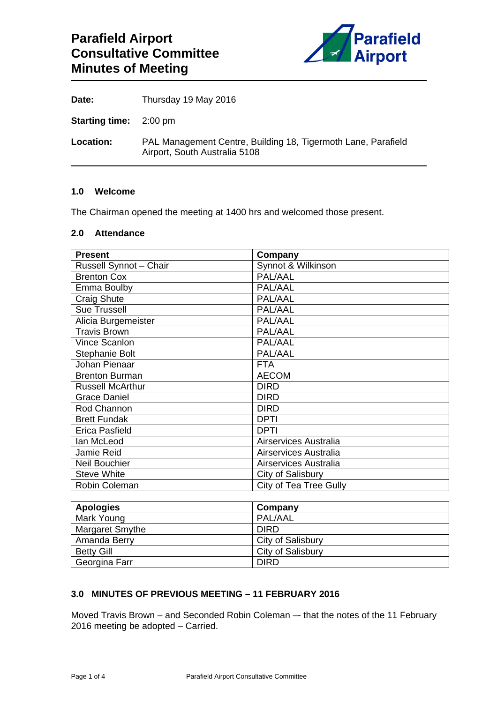

| Date:                         | Thursday 19 May 2016                                                                           |
|-------------------------------|------------------------------------------------------------------------------------------------|
| <b>Starting time:</b> 2:00 pm |                                                                                                |
| Location:                     | PAL Management Centre, Building 18, Tigermoth Lane, Parafield<br>Airport, South Australia 5108 |

# **1.0 Welcome**

The Chairman opened the meeting at 1400 hrs and welcomed those present.

# **2.0 Attendance**

| <b>Present</b>          | Company                |
|-------------------------|------------------------|
| Russell Synnot - Chair  | Synnot & Wilkinson     |
| <b>Brenton Cox</b>      | PAL/AAL                |
| Emma Boulby             | PAL/AAL                |
| <b>Craig Shute</b>      | PAL/AAL                |
| <b>Sue Trussell</b>     | PAL/AAL                |
| Alicia Burgemeister     | PAL/AAL                |
| <b>Travis Brown</b>     | PAL/AAL                |
| Vince Scanlon           | PAL/AAL                |
| Stephanie Bolt          | PAL/AAL                |
| Johan Pienaar           | <b>FTA</b>             |
| <b>Brenton Burman</b>   | <b>AECOM</b>           |
| <b>Russell McArthur</b> | <b>DIRD</b>            |
| <b>Grace Daniel</b>     | <b>DIRD</b>            |
| Rod Channon             | <b>DIRD</b>            |
| <b>Brett Fundak</b>     | <b>DPTI</b>            |
| Erica Pasfield          | <b>DPTI</b>            |
| lan McLeod              | Airservices Australia  |
| Jamie Reid              | Airservices Australia  |
| <b>Neil Bouchier</b>    | Airservices Australia  |
| <b>Steve White</b>      | City of Salisbury      |
| Robin Coleman           | City of Tea Tree Gully |

| <b>Apologies</b>  | Company           |
|-------------------|-------------------|
| Mark Young        | PAL/AAL           |
| Margaret Smythe   | <b>DIRD</b>       |
| Amanda Berry      | City of Salisbury |
| <b>Betty Gill</b> | City of Salisbury |
| Georgina Farr     | <b>DIRD</b>       |

## **3.0 MINUTES OF PREVIOUS MEETING – 11 FEBRUARY 2016**

Moved Travis Brown – and Seconded Robin Coleman –- that the notes of the 11 February 2016 meeting be adopted – Carried.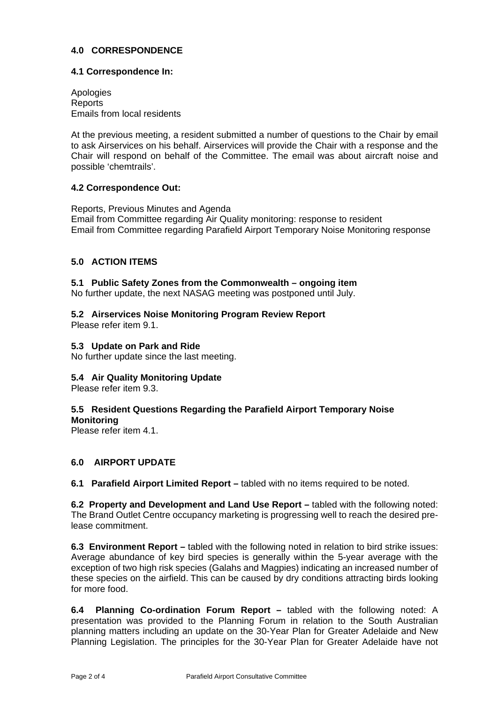## **4.0 CORRESPONDENCE**

### **4.1 Correspondence In:**

Apologies Reports Emails from local residents

At the previous meeting, a resident submitted a number of questions to the Chair by email to ask Airservices on his behalf. Airservices will provide the Chair with a response and the Chair will respond on behalf of the Committee. The email was about aircraft noise and possible 'chemtrails'.

## **4.2 Correspondence Out:**

Reports, Previous Minutes and Agenda Email from Committee regarding Air Quality monitoring: response to resident Email from Committee regarding Parafield Airport Temporary Noise Monitoring response

## **5.0 ACTION ITEMS**

### **5.1 Public Safety Zones from the Commonwealth – ongoing item**

No further update, the next NASAG meeting was postponed until July.

# **5.2 Airservices Noise Monitoring Program Review Report**

Please refer item 9.1.

## **5.3 Update on Park and Ride**

No further update since the last meeting.

## **5.4 Air Quality Monitoring Update**

Please refer item 9.3.

# **5.5 Resident Questions Regarding the Parafield Airport Temporary Noise**

**Monitoring** 

Please refer item 4.1.

## **6.0 AIRPORT UPDATE**

**6.1 Parafield Airport Limited Report –** tabled with no items required to be noted.

**6.2 Property and Development and Land Use Report –** tabled with the following noted: The Brand Outlet Centre occupancy marketing is progressing well to reach the desired prelease commitment.

**6.3 Environment Report –** tabled with the following noted in relation to bird strike issues: Average abundance of key bird species is generally within the 5-year average with the exception of two high risk species (Galahs and Magpies) indicating an increased number of these species on the airfield. This can be caused by dry conditions attracting birds looking for more food.

**6.4 Planning Co-ordination Forum Report –** tabled with the following noted: A presentation was provided to the Planning Forum in relation to the South Australian planning matters including an update on the 30-Year Plan for Greater Adelaide and New Planning Legislation. The principles for the 30-Year Plan for Greater Adelaide have not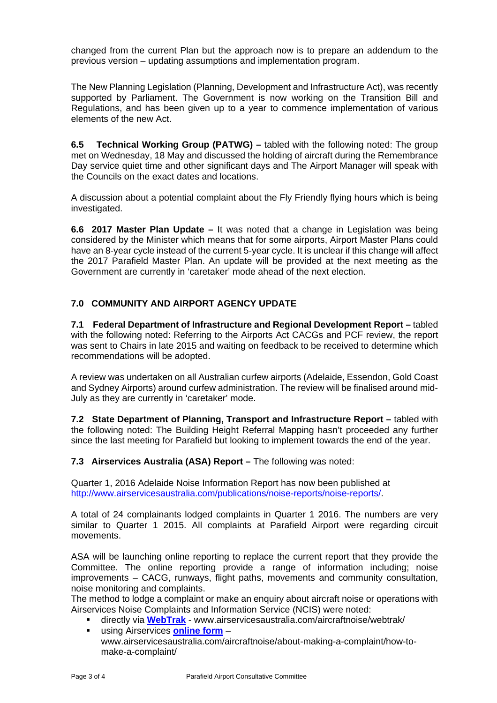changed from the current Plan but the approach now is to prepare an addendum to the previous version – updating assumptions and implementation program.

The New Planning Legislation (Planning, Development and Infrastructure Act), was recently supported by Parliament. The Government is now working on the Transition Bill and Regulations, and has been given up to a year to commence implementation of various elements of the new Act.

**6.5 Technical Working Group (PATWG) –** tabled with the following noted: The group met on Wednesday, 18 May and discussed the holding of aircraft during the Remembrance Day service quiet time and other significant days and The Airport Manager will speak with the Councils on the exact dates and locations.

A discussion about a potential complaint about the Fly Friendly flying hours which is being investigated.

**6.6 2017 Master Plan Update –** It was noted that a change in Legislation was being considered by the Minister which means that for some airports, Airport Master Plans could have an 8-year cycle instead of the current 5-year cycle. It is unclear if this change will affect the 2017 Parafield Master Plan. An update will be provided at the next meeting as the Government are currently in 'caretaker' mode ahead of the next election.

# **7.0 COMMUNITY AND AIRPORT AGENCY UPDATE**

**7.1 Federal Department of Infrastructure and Regional Development Report –** tabled with the following noted: Referring to the Airports Act CACGs and PCF review, the report was sent to Chairs in late 2015 and waiting on feedback to be received to determine which recommendations will be adopted.

A review was undertaken on all Australian curfew airports (Adelaide, Essendon, Gold Coast and Sydney Airports) around curfew administration. The review will be finalised around mid-July as they are currently in 'caretaker' mode.

**7.2 State Department of Planning, Transport and Infrastructure Report –** tabled with the following noted: The Building Height Referral Mapping hasn't proceeded any further since the last meeting for Parafield but looking to implement towards the end of the year.

**7.3 Airservices Australia (ASA) Report – The following was noted:** 

Quarter 1, 2016 Adelaide Noise Information Report has now been published at http://www.airservicesaustralia.com/publications/noise-reports/noise-reports/.

A total of 24 complainants lodged complaints in Quarter 1 2016. The numbers are very similar to Quarter 1 2015. All complaints at Parafield Airport were regarding circuit movements.

ASA will be launching online reporting to replace the current report that they provide the Committee. The online reporting provide a range of information including; noise improvements – CACG, runways, flight paths, movements and community consultation, noise monitoring and complaints.

The method to lodge a complaint or make an enquiry about aircraft noise or operations with Airservices Noise Complaints and Information Service (NCIS) were noted:

- directly via **WebTrak** www.airservicesaustralia.com/aircraftnoise/webtrak/
- using Airservices **online form** www.airservicesaustralia.com/aircraftnoise/about-making-a-complaint/how-tomake-a-complaint/